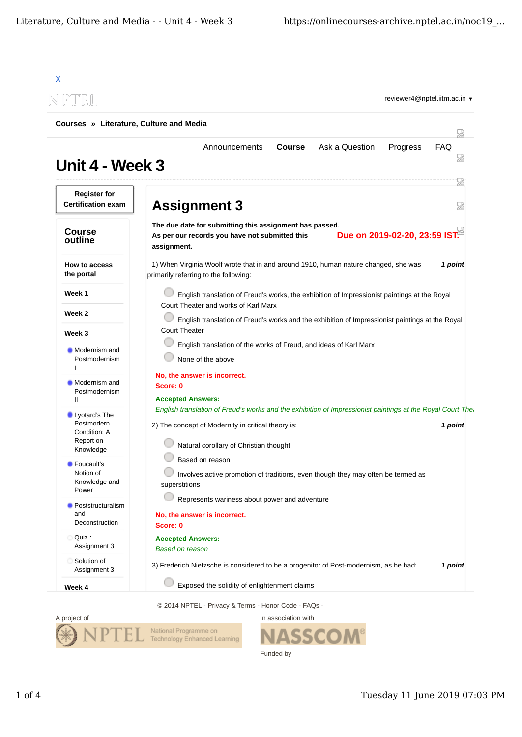| NPTEL                                            | reviewer4@nptel.iitm.ac.in ▼                                                                                                                              |  |  |  |
|--------------------------------------------------|-----------------------------------------------------------------------------------------------------------------------------------------------------------|--|--|--|
| Courses » Literature, Culture and Media          |                                                                                                                                                           |  |  |  |
| Unit 4 - Week 3                                  | Ask a Question<br><b>FAQ</b><br><b>Course</b><br>Progress<br>Announcements                                                                                |  |  |  |
| <b>Register for</b><br><b>Certification exam</b> | <b>Assignment 3</b>                                                                                                                                       |  |  |  |
| <b>Course</b><br>outline                         | The due date for submitting this assignment has passed.<br>Due on 2019-02-20, 23:59 IST.<br>As per our records you have not submitted this<br>assignment. |  |  |  |
| How to access<br>the portal                      | 1) When Virginia Woolf wrote that in and around 1910, human nature changed, she was<br>1 point<br>primarily referring to the following:                   |  |  |  |
| Week 1                                           | English translation of Freud's works, the exhibition of Impressionist paintings at the Royal                                                              |  |  |  |
| Week 2                                           | Court Theater and works of Karl Marx<br>English translation of Freud's works and the exhibition of Impressionist paintings at the Royal                   |  |  |  |
| Week 3                                           | <b>Court Theater</b>                                                                                                                                      |  |  |  |
| ■ Modernism and<br>Postmodernism                 | English translation of the works of Freud, and ideas of Karl Marx<br>None of the above                                                                    |  |  |  |
| <b>Modernism and</b>                             | No, the answer is incorrect.<br>Score: 0                                                                                                                  |  |  |  |
| Postmodernism<br>Ш                               | <b>Accepted Answers:</b>                                                                                                                                  |  |  |  |
| Lyotard's The                                    | English translation of Freud's works and the exhibition of Impressionist paintings at the Royal Court The                                                 |  |  |  |
| Postmodern<br>Condition: A                       | 2) The concept of Modernity in critical theory is:<br>1 point                                                                                             |  |  |  |
| Report on<br>Knowledge                           | Natural corollary of Christian thought                                                                                                                    |  |  |  |
| <b>Foucault's</b><br>Notion of<br>Knowledge and  | Based on reason<br>Involves active promotion of traditions, even though they may often be termed as<br>superstitions                                      |  |  |  |
| Power<br>Poststructuralism                       | Represents wariness about power and adventure                                                                                                             |  |  |  |
| and<br>Deconstruction                            | No, the answer is incorrect.<br>Score: 0                                                                                                                  |  |  |  |
| Quiz:<br>Assignment 3                            | <b>Accepted Answers:</b><br><b>Based on reason</b>                                                                                                        |  |  |  |
| Solution of<br>Assignment 3                      | 3) Frederich Nietzsche is considered to be a progenitor of Post-modernism, as he had:<br>1 point                                                          |  |  |  |
| Week 4                                           | Exposed the solidity of enlightenment claims                                                                                                              |  |  |  |

© 2014 NPTEL - Privacy & Terms - Honor Code - FAQs -



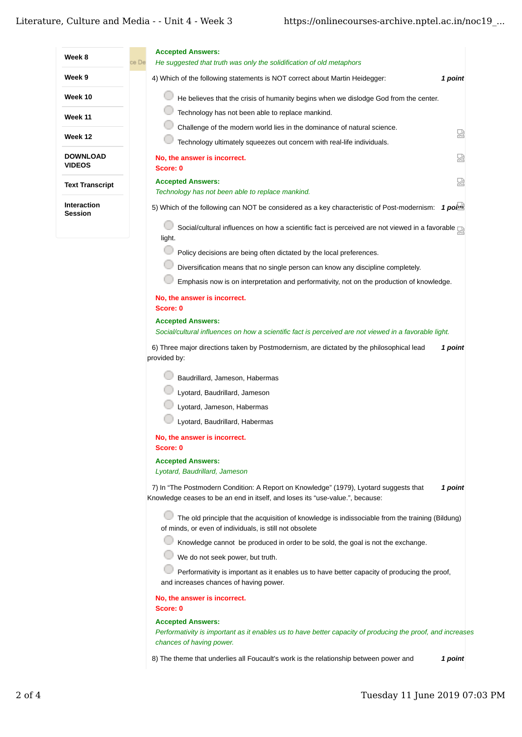| Week 8                           | <b>Accepted Answers:</b>                                                                                                                                                          |
|----------------------------------|-----------------------------------------------------------------------------------------------------------------------------------------------------------------------------------|
|                                  | ce De<br>He suggested that truth was only the solidification of old metaphors                                                                                                     |
| Week 9                           | 4) Which of the following statements is NOT correct about Martin Heidegger:<br>1 point                                                                                            |
| Week 10                          | He believes that the crisis of humanity begins when we dislodge God from the center.                                                                                              |
| Week 11                          | Technology has not been able to replace mankind.                                                                                                                                  |
| Week 12                          | Challenge of the modern world lies in the dominance of natural science.<br>덣                                                                                                      |
|                                  | Technology ultimately squeezes out concern with real-life individuals.                                                                                                            |
| <b>DOWNLOAD</b><br><b>VIDEOS</b> | 눲<br>No, the answer is incorrect.<br>Score: 0                                                                                                                                     |
| <b>Text Transcript</b>           | 덨<br><b>Accepted Answers:</b><br>Technology has not been able to replace mankind.                                                                                                 |
| <b>Interaction</b><br>Session    | 5) Which of the following can NOT be considered as a key characteristic of Post-modernism: 1 point                                                                                |
|                                  | Social/cultural influences on how a scientific fact is perceived are not viewed in a favorable<br>light.                                                                          |
|                                  | Policy decisions are being often dictated by the local preferences.                                                                                                               |
|                                  | Diversification means that no single person can know any discipline completely.                                                                                                   |
|                                  | Emphasis now is on interpretation and performativity, not on the production of knowledge.                                                                                         |
|                                  | No, the answer is incorrect.<br>Score: 0                                                                                                                                          |
|                                  | <b>Accepted Answers:</b>                                                                                                                                                          |
|                                  | Social/cultural influences on how a scientific fact is perceived are not viewed in a favorable light.                                                                             |
|                                  | 6) Three major directions taken by Postmodernism, are dictated by the philosophical lead<br>1 point<br>provided by:                                                               |
|                                  | Baudrillard, Jameson, Habermas                                                                                                                                                    |
|                                  | Lyotard, Baudrillard, Jameson                                                                                                                                                     |
|                                  | Lyotard, Jameson, Habermas                                                                                                                                                        |
|                                  | Lyotard, Baudrillard, Habermas                                                                                                                                                    |
|                                  | No, the answer is incorrect.<br>Score: 0                                                                                                                                          |
|                                  | <b>Accepted Answers:</b><br>Lyotard, Baudrillard, Jameson                                                                                                                         |
|                                  | 7) In "The Postmodern Condition: A Report on Knowledge" (1979), Lyotard suggests that<br>1 point<br>Knowledge ceases to be an end in itself, and loses its "use-value.", because: |
|                                  | The old principle that the acquisition of knowledge is indissociable from the training (Bildung)<br>of minds, or even of individuals, is still not obsolete                       |
|                                  | Knowledge cannot be produced in order to be sold, the goal is not the exchange.                                                                                                   |
|                                  | We do not seek power, but truth.                                                                                                                                                  |
|                                  | Performativity is important as it enables us to have better capacity of producing the proof,<br>and increases chances of having power.                                            |
|                                  | No, the answer is incorrect.<br>Score: 0                                                                                                                                          |
|                                  | <b>Accepted Answers:</b><br>Performativity is important as it enables us to have better capacity of producing the proof, and increases<br>chances of having power.                |

8) *1 point* The theme that underlies all Foucault's work is the relationship between power and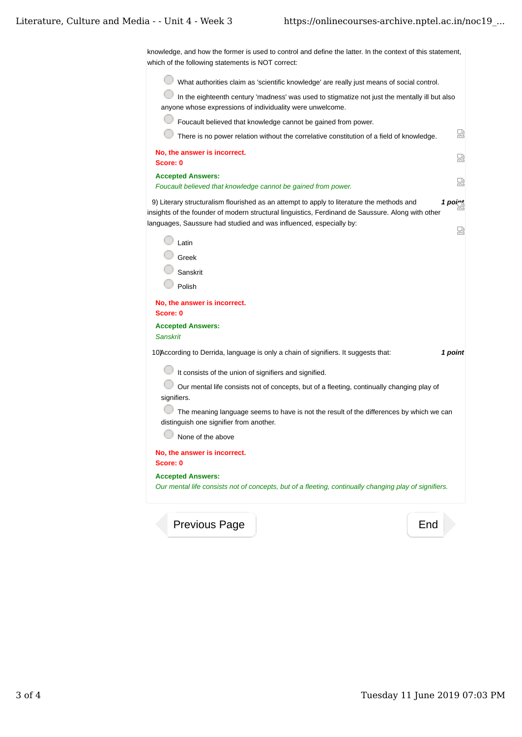knowledge, and how the former is used to control and define the latter. In the context of this statement, which of the following statements is NOT correct:

What authorities claim as 'scientific knowledge' are really just means of social control.

 $\Box$  In the eighteenth century 'madness' was used to stigmatize not just the mentally ill but also anyone whose expressions of individuality were unwelcome.

| Foucault believed that knowledge cannot be gained from power.                                                                                                                                                                                                                        |
|--------------------------------------------------------------------------------------------------------------------------------------------------------------------------------------------------------------------------------------------------------------------------------------|
| 얺<br>There is no power relation without the correlative constitution of a field of knowledge.                                                                                                                                                                                        |
| No, the answer is incorrect.<br>덣<br>Score: 0                                                                                                                                                                                                                                        |
| <b>Accepted Answers:</b><br>썼<br>Foucault believed that knowledge cannot be gained from power.                                                                                                                                                                                       |
| 9) Literary structuralism flourished as an attempt to apply to literature the methods and<br>1 point<br>insights of the founder of modern structural linguistics, Ferdinand de Saussure. Along with other<br>languages, Saussure had studied and was influenced, especially by:<br>덨 |
| Latin                                                                                                                                                                                                                                                                                |
| Greek                                                                                                                                                                                                                                                                                |
| Sanskrit                                                                                                                                                                                                                                                                             |
| Polish                                                                                                                                                                                                                                                                               |
| No, the answer is incorrect.<br>Score: 0                                                                                                                                                                                                                                             |
| <b>Accepted Answers:</b><br><b>Sanskrit</b>                                                                                                                                                                                                                                          |
| 10)According to Derrida, language is only a chain of signifiers. It suggests that:<br>1 point                                                                                                                                                                                        |
| It consists of the union of signifiers and signified.                                                                                                                                                                                                                                |
| Our mental life consists not of concepts, but of a fleeting, continually changing play of<br>signifiers.                                                                                                                                                                             |
| The meaning language seems to have is not the result of the differences by which we can<br>distinguish one signifier from another.                                                                                                                                                   |
| None of the above                                                                                                                                                                                                                                                                    |
| No, the answer is incorrect.                                                                                                                                                                                                                                                         |
| Score: 0                                                                                                                                                                                                                                                                             |
| <b>Accepted Answers:</b>                                                                                                                                                                                                                                                             |
| Our mental life consists not of concepts, but of a fleeting, continually changing play of signifiers.                                                                                                                                                                                |

Previous Page **End**